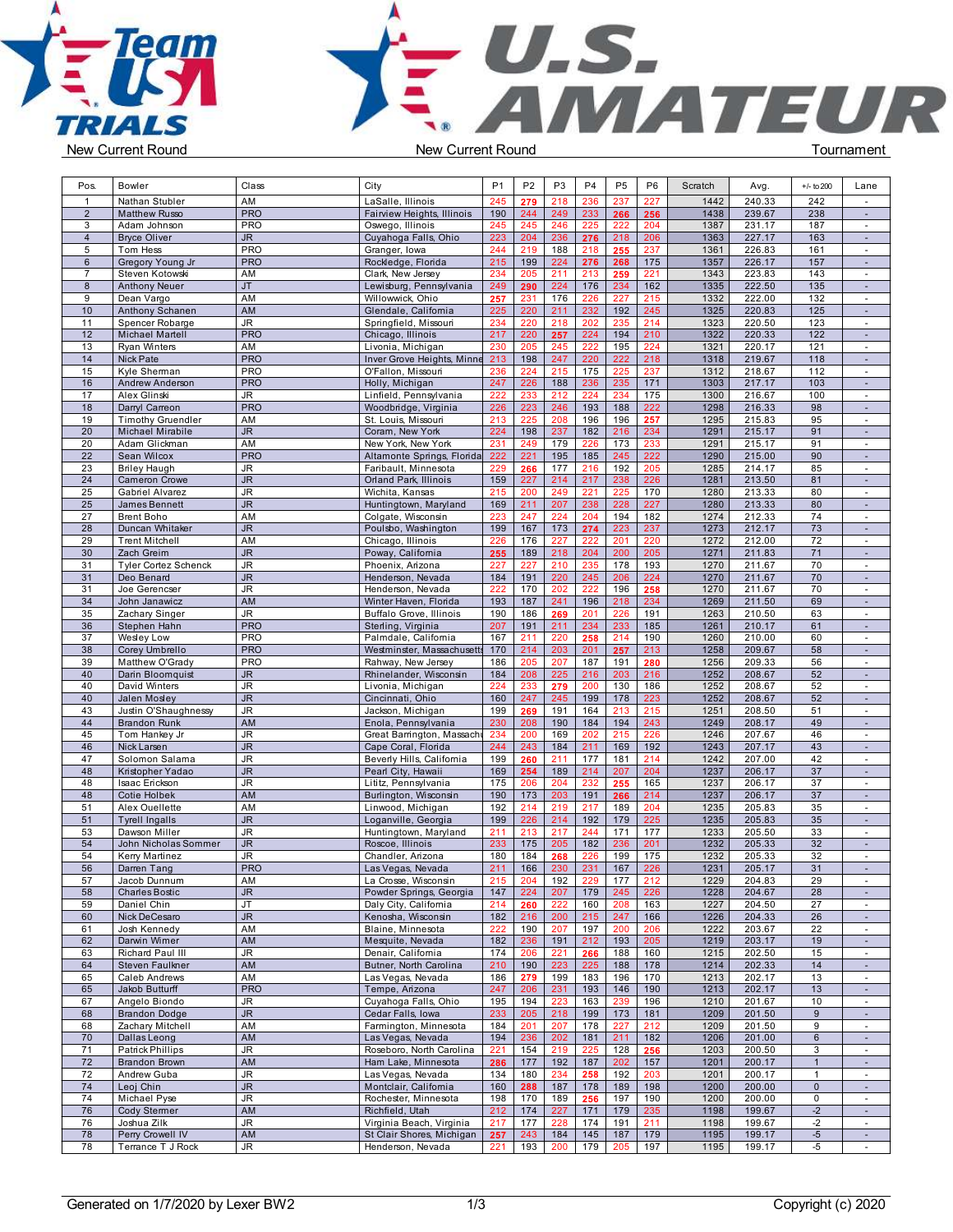**Team** TRIALS



| Pos.           | Bowler                      | Class                  | City                         | P <sub>1</sub> | P <sub>2</sub> | P <sub>3</sub> | P <sub>4</sub> | P <sub>5</sub> | P <sub>6</sub> | Scratch | Avg.   | $+/-$ to 200   | Lane                     |  |
|----------------|-----------------------------|------------------------|------------------------------|----------------|----------------|----------------|----------------|----------------|----------------|---------|--------|----------------|--------------------------|--|
|                | Nathan Stubler              | AM                     | LaSalle, Illinois            | 245            | 279            | 218            | 236            | 237            | 227            | 1442    | 240.33 | 242            | $\overline{\phantom{a}}$ |  |
| $\overline{2}$ | <b>Matthew Russo</b>        | <b>PRO</b>             | Fairview Heights, Illinois   | 190            | 244            | 249            | 233            | 266            | 256            | 1438    | 239.67 | 238            | $\blacksquare$           |  |
| 3              | Adam Johnson                | PRO                    |                              | 245            | 245            | 246            | 225            | 222            | 204            | 1387    | 231.17 | 187            |                          |  |
|                |                             |                        | Oswego, Illinois             |                |                |                |                |                |                |         |        |                | $\sim$                   |  |
| $\overline{4}$ | <b>Bryce Oliver</b>         | JR.                    | Cuyahoga Falls, Ohio         | 223            | 204            | 236            | 276            | 218            | 206            | 1363    | 227.17 | 163            | $\sim$                   |  |
| 5              | Tom Hess                    | <b>PRO</b>             | Granger, Iowa                | 244            | 219            | 188            | 218            | 255            | 237            | 1361    | 226.83 | 161            | $\blacksquare$           |  |
| 6              | Gregory Young Jr            | <b>PRO</b>             | Rockledge, Florida           | 215            | 199            | 224            | 276            | 268            | 175            | 1357    | 226.17 | 157            | $\sim$                   |  |
| $\overline{7}$ | Steven Kotowski             | AM                     | Clark, New Jersey            | 234            | 205            | 211            | 213            | 259            | 221            | 1343    | 223.83 | 143            | $\blacksquare$           |  |
| 8              | <b>Anthony Neuer</b>        | <b>JT</b>              | Lewisburg, Pennsylvania      | 249            | 290            | 224            | 176            | 234            | 162            | 1335    | 222.50 | 135            | $\sim$                   |  |
| 9              | Dean Vargo                  | AM                     | Willowwick, Ohio             | 257            | 231            | 176            | 226            | 227            | 215            | 1332    | 222.00 | 132            | $\sim$                   |  |
| 10             | Anthony Schanen             | AM                     | Glendale, Califomia          | 225            | 220            | 211            | 232            | 192            | 245            | 1325    | 220.83 | 125            | $\sim$                   |  |
|                |                             |                        |                              |                |                |                |                |                |                |         |        |                |                          |  |
| 11             | Spencer Robarge             | JR                     | Springfield, Missouri        | 234            | 220            | 218            | 202            | 235            | 214            | 1323    | 220.50 | 123            | $\sim$                   |  |
| 12             | Michael Martell             | <b>PRO</b>             | Chicago, Illinois            | 217            | 220            | 257            | 224            | 194            | 210            | 1322    | 220.33 | 122            | $\blacksquare$           |  |
| 13             | <b>Ryan Winters</b>         | AM                     | Livonia, Michigan            | 230            | 205            | 245            | 222            | 195            | 224            | 1321    | 220.17 | 121            | $\sim$                   |  |
| 14             | Nick Pate                   | <b>PRO</b>             | Inver Grove Heights, Minne   | 213            | 198            | 247            | 220            | 222            | 218            | 1318    | 219.67 | 118            | $\sim$                   |  |
| 15             | Kyle Sherman                | <b>PRO</b>             | O'Fallon, Missouri           | 236            | 224            | 215            | 175            | 225            | 237            | 1312    | 218.67 | 112            | $\sim$                   |  |
| 16             | Andrew Anderson             | <b>PRO</b>             | Holly, Michigan              | 247            | 226            | 188            | 236            | 235            | 171            | 1303    | 217.17 | 103            | $\sim$                   |  |
| 17             | Alex Glinski                | JR                     |                              | 222            | 233            | 212            | 224            | 234            | 175            | 1300    | 216.67 | 100            | $\blacksquare$           |  |
|                |                             |                        | Linfield, Pennsylvania       |                |                |                |                |                |                |         |        |                |                          |  |
| 18             | Darryl Carreon              | <b>PRO</b>             | Woodbridge, Virginia         | 226            | 223            | 246            | 193            | 188            | 222            | 1298    | 216.33 | 98             | $\sim$                   |  |
| 19             | <b>Timothy Gruendler</b>    | AM                     | St. Louis, Missouri          | 213            | 225            | 208            | 196            | 196            | 257            | 1295    | 215.83 | 95             | $\sim$                   |  |
| 20             | Michael Mirabile            | <b>JR</b>              | Coram, New York              | 224            | 198            | 237            | 182            | 216            | 234            | 1291    | 215.17 | 91             | $\sim$                   |  |
| 20             | Adam Glickman               | AM                     | New York, New York           | 231            | 249            | 179            | 226            | 173            | 233            | 1291    | 215.17 | 91             | $\sim$                   |  |
| 22             | Sean Wilcox                 | <b>PRO</b>             | Altamonte Springs, Florida   | 222            | 221            | 195            | 185            | 245            | 222            | 1290    | 215.00 | 90             | $\omega$                 |  |
| 23             | <b>Briley Haugh</b>         | JR                     | Faribault, Minnesota         | 229            | 266            | 177            | 216            | 192            | 205            | 1285    | 214.17 | 85             | $\sim$                   |  |
| 24             | <b>Cameron Crowe</b>        | JR.                    | <b>Orland Park, Illinois</b> | 159            | 227            | 214            | 217            | 238            | 226            | 1281    | 213.50 | 81             | $\sim$                   |  |
|                |                             |                        |                              |                |                |                |                |                |                |         |        |                |                          |  |
| 25             | Gabriel Alvarez             | JR                     | Wichita, Kansas              | 215            | 200            | 249            | 221            | 225            | 170            | 1280    | 213.33 | 80             | $\sim$                   |  |
| 25             | James Bennett               | <b>JR</b>              | Huntingtown, Maryland        | 169            | 211            | 207            | 238            | 228            | 227            | 1280    | 213.33 | 80             | $\sim$                   |  |
| 27             | <b>Brent Boho</b>           | AM                     | Colgate, Wisconsin           | 223            | 247            | 224            | 204            | 194            | 182            | 1274    | 212.33 | 74             |                          |  |
| 28             | Duncan Whitaker             | JR.                    | Poulsbo, Washington          | 199            | 167            | 173            | 274            | 223            | 237            | 1273    | 212.17 | 73             | $\sim$                   |  |
| 29             | <b>Trent Mitchell</b>       | AM                     | Chicago, Illinois            | 226            | 176            | 227            | 222            | 201            | 220            | 1272    | 212.00 | 72             | $\sim$                   |  |
| 30             | Zach Greim                  | <b>JR</b>              | Poway, California            | 255            | 189            | 218            | 204            | 200            | 205            | 1271    | 211.83 | 71             | $\sim$                   |  |
|                |                             |                        |                              |                |                |                |                |                |                |         |        |                |                          |  |
| 31             | <b>Tyler Cortez Schenck</b> | JR                     | Phoenix, Arizona             | 227            | 227            | 210            | 235            | 178            | 193            | 1270    | 211.67 | 70             | $\sim$                   |  |
| 31             | Deo Benard                  | <b>JR</b>              | Henderson, Nevada            | 184            | 191            | 220            | 245            | 206            | 224            | 1270    | 211.67 | 70             | ä,                       |  |
| 31             | Joe Gerencser               | JR                     | Henderson, Nevada            | 222            | 170            | 202            | 222            | 196            | 258            | 1270    | 211.67 | 70             | $\sim$                   |  |
| 34             | John Janawicz               | AM                     | Winter Haven, Florida        | 193            | 187            | 241            | 196            | 218            | 234            | 1269    | 211.50 | 69             | $\sim$                   |  |
| 35             | Zachary Singer              | JR                     | Buffalo Grove, Illinois      | 190            | 186            | 269            | 201            | 226            | 191            | 1263    | 210.50 | 63             | $\sim$                   |  |
| 36             | Stephen Hahn                | <b>PRO</b>             | Sterling, Virginia           | 207            | 191            | 211            | 234            | 233            | 185            | 1261    | 210.17 | 61             | $\sim$                   |  |
| 37             | Wesley Low                  | PRO                    | Palmdale, California         | 167            | 211            | 220            | 258            | 214            | 190            | 1260    | 210.00 | 60             | $\blacksquare$           |  |
| 38             |                             | <b>PRO</b>             | Westminster, Massachusetts   | 170            | 214            | 203            | 201            | 257            | 213            | 1258    | 209.67 | 58             | $\sim$                   |  |
|                | Corey Umbrello              |                        |                              |                |                |                |                |                |                |         |        |                |                          |  |
| 39             | Matthew O'Grady             | PRO                    | Rahway, New Jersey           | 186            | 205            | 207            | 187            | 191            | 280            | 1256    | 209.33 | 56             | $\sim$                   |  |
| 40             | Darin Bloomquist            | JR.                    | Rhinelander, Wisconsin       | 184            | 208            | 225            | 216            | 203            | 216            | 1252    | 208.67 | 52             | $\sim$                   |  |
| 40             | David Winters               | JR                     | Livonia, Michigan            | 224            | 233            | 279            | 200            | 130            | 186            | 1252    | 208.67 | 52             | $\sim$                   |  |
| 40             | Jalen Mosley                | <b>JR</b>              | Cincinnati, Ohio             | 160            | 247            | 245            | 199            | 178            | 223            | 1252    | 208.67 | 52             | $\omega$                 |  |
| 43             | Justin O'Shaughnessy        | JR                     | Jackson, Michigan            | 199            | 269            | 191            | 164            | 213            | 215            | 1251    | 208.50 | 51             | $\sim$                   |  |
| 44             | <b>Brandon Runk</b>         | AM                     | Enola, Pennsylvania          | 230            | 208            | 190            | 184            | 194            | 243            | 1249    | 208.17 | 49             | $\sim$                   |  |
|                |                             | JR                     |                              | 234            | 200            | 169            | 202            | 215            | 226            | 1246    | 207.67 | 46             | $\sim$                   |  |
| 45             | Tom Hankey Jr               |                        | Great Barrington, Massachu   |                |                |                |                |                |                |         |        |                |                          |  |
| 46             | Nick Larsen                 | <b>JR</b>              | Cape Coral, Florida          | 244            | 243            | 184            | 211            | 169            | 192            | 1243    | 207.17 | 43             | $\sim$                   |  |
| 47             | Solomon Salama              | JR                     | Beverly Hills, California    | 199            | 260            | 211            | 177            | 181            | 214            | 1242    | 207.00 | 42             | $\overline{\phantom{a}}$ |  |
| 48             | Kristopher Yadao            | JR.                    | Pearl City, Hawaii           | 169            | 254            | 189            | 214            | 207            | 204            | 1237    | 206.17 | 37             | $\sim$                   |  |
| 48             | Isaac Erickson              | JR.                    | Lititz, Pennsylvania         | 175            | 206            | 204            | 232            | 255            | 165            | 1237    | 206.17 | 37             | $\sim$                   |  |
| 48             | <b>Cotie Holbek</b>         | AM                     | Burlington, Wisconsin        | 190            | 173            | 203            | 191            | 266            | 214            | 1237    | 206.17 | 37             | $\sim$                   |  |
| 51             | Alex Ouellette              | AM                     | Linwood, Michigan            | 192            | 214            | 219            | 217            | 189            | 204            | 1235    | 205.83 | 35             | $\sim$                   |  |
| 51             | <b>Tyrell Ingalls</b>       | <b>JR</b>              |                              | 199            | 226            | 214            | 192            | 179            | 225            | 1235    | 205.83 | 35             | $\blacksquare$           |  |
|                |                             |                        | Loganville, Georgia          |                |                |                |                |                |                |         |        |                |                          |  |
| 53             | Dawson Miller               | JR                     | Huntingtown, Maryland        | 211            | 213            | 217            | 244            | 171            | 177            | 1233    | 205.50 | 33             | $\blacksquare$           |  |
| 54             | John Nicholas Sommer        | JR.                    | Roscoe, Illinois             | 233            | 175            | 205            | 182            | 236            | 201            | 1232    | 205.33 | 32             | $\sim$                   |  |
| 54             | Kerry Martinez              | JR                     | Chandler, Arizona            | 180            | 184            | 268            | 226            | 199            | 175            | 1232    | 205.33 | 32             | $\sim$                   |  |
| 56             | Darren Tang                 | <b>PRO</b>             | Las Vegas, Nevada            | 211            | 166            | 230            | 231            | 167            | 226            | 1231    | 205.17 | 31             | $\sim$                   |  |
| 57             | Jacob Dunnum                | AM                     | La Crosse, Wisconsin         | 215            | 204            | 192            | 229            | 177            | 212            | 1229    | 204.83 | 29             | $\sim$                   |  |
| 58             | <b>Charles Bostic</b>       | JR.                    | Powder Springs, Georgia      | 147            | 224            | 207            | 179            | 245            | 226            | 1228    | 204.67 | 28             | $\sim$                   |  |
| 59             | Daniel Chin                 | JT                     | Daly City, California        | 214            | 260            | 222            | 160            | 208            | 163            | 1227    | 204.50 | 27             | $\sim$                   |  |
|                |                             |                        |                              |                |                |                |                |                |                |         |        |                |                          |  |
| 60             | Nick DeCesaro               | $\mathsf{J}\mathsf{R}$ | Kenosha, Wisconsin           | 182            | 216            | 200            | 215            | 247            | 166            | 1226    | 204.33 | 26             | $\sim$                   |  |
| 61             | Josh Kennedy                | AM                     | Blaine, Minnesota            | 222            | 190            | 207            | 197            | 200            | 206            | 1222    | 203.67 | 22             | $\sim$                   |  |
| 62             | Darwin Wimer                | AM                     | Mesquite, Nevada             | 182            | 236            | 191            | 212            | 193            | 205            | 1219    | 203.17 | 19             | $\omega$                 |  |
| 63             | Richard Paul III            | JR.                    | Denair, California           | 174            | 206            | 221            | 266            | 188            | 160            | 1215    | 202.50 | 15             | $\sim$                   |  |
| 64             | Steven Faulkner             | AM                     | Butner, North Carolina       | 210            | 190            | 223            | 225            | 188            | 178            | 1214    | 202.33 | 14             | $\sim$                   |  |
| 65             | <b>Caleb Andrews</b>        | AM                     | Las Vegas, Nevada            | 186            | 279            | 199            | 183            | 196            | 170            | 1213    | 202.17 | 13             | $\sim$                   |  |
| 65             | Jakob Butturff              | <b>PRO</b>             | Tempe, Arizona               | 247            | 206            | 231            | 193            | 146            | 190            | 1213    | 202.17 | 13             | $\sim$                   |  |
|                |                             |                        |                              |                |                |                |                |                |                |         |        |                |                          |  |
| 67             | Angelo Biondo               | JR                     | Cuyahoga Falls, Ohio         | 195            | 194            | 223            | 163            | 239            | 196            | 1210    | 201.67 | 10             | $\blacksquare$           |  |
| 68             | <b>Brandon Dodge</b>        | JR.                    | Cedar Falls, Iowa            | 233            | 205            | 218            | 199            | 173            | 181            | 1209    | 201.50 | 9              | $\sim$                   |  |
| 68             | Zachary Mitchell            | AM                     | Farmington, Minnesota        | 184            | 201            | 207            | 178            | 227            | 212            | 1209    | 201.50 | 9              | $\sim$                   |  |
| 70             | Dallas Leong                | AM                     | Las Vegas, Nevada            | 194            | 236            | 202            | 181            | 211            | 182            | 1206    | 201.00 | $6\phantom{1}$ | $\sim$                   |  |
| 71             | Patrick Phillips            | JR                     | Roseboro, North Carolina     | 221            | 154            | 219            | 225            | 128            | 256            | 1203    | 200.50 | 3              | $\sim$                   |  |
| 72             | <b>Brandon Brown</b>        | AM                     | Ham Lake, Minnesota          | 286            | 177            | 192            | 187            | 202            | 157            | 1201    | 200.17 | $\mathbf{1}$   | $\omega$                 |  |
|                |                             |                        |                              |                |                |                |                |                |                |         |        |                |                          |  |
| 72             | Andrew Guba                 | JR                     | Las Vegas, Nevada            | 134            | 180            | 234            | 258            | 192            | 203            | 1201    | 200.17 | $\mathbf{1}$   | $\sim$                   |  |
| 74             | Leoj Chin                   | JR.                    | Montclair, Califomia         | 160            | 288            | 187            | 178            | 189            | 198            | 1200    | 200.00 | $\mathbf{0}$   | $\sim$                   |  |
| 74             | Michael Pyse                | JR                     | Rochester, Minnesota         | 198            | 170            | 189            | 256            | 197            | 190            | 1200    | 200.00 | $\mathsf{O}$   | $\sim$                   |  |
| 76             | <b>Cody Stermer</b>         | AM                     | Richfield, Utah              | 212            | 174            | 227            | 171            | 179            | 235            | 1198    | 199.67 | $-2$           | $\sim$                   |  |
| 76             | Joshua Zilk                 | JR                     | Virginia Beach, Virginia     | 217            | 177            | 228            | 174            | 191            | 211            | 1198    | 199.67 | $-2$           | $\sim$                   |  |
| 78             | Perry Crowell IV            | AM                     | St Clair Shores, Michigan    | 257            | 243            | 184            | 145            | 187            | 179            | 1195    | 199.17 | $-5$           | $\sim$                   |  |
| 78             | Terrance T J Rock           | JR                     | Henderson, Nevada            | 221            | 193            | 200            | 179            | 205            | 197            | 1195    | 199.17 | $-5$           | $\sim$                   |  |
|                |                             |                        |                              |                |                |                |                |                |                |         |        |                |                          |  |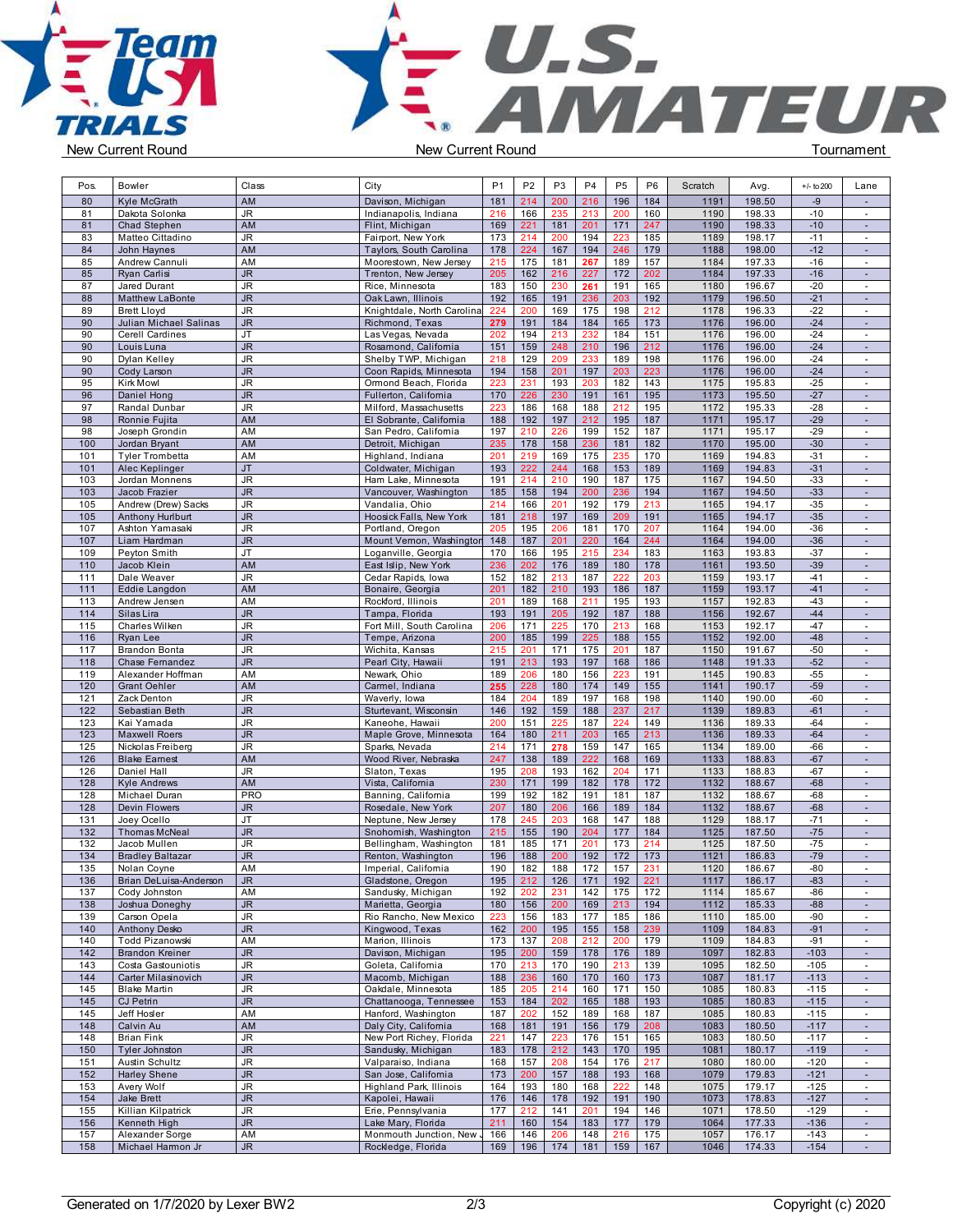



| Pos.       | <b>Bowler</b>                           | Class           | City                                            | P <sub>1</sub> | P <sub>2</sub> | P <sub>3</sub> | P4             | P <sub>5</sub>   | P <sub>6</sub> | Scratch      | Avg.             | $+/-$ to 200   | Lane                        |  |
|------------|-----------------------------------------|-----------------|-------------------------------------------------|----------------|----------------|----------------|----------------|------------------|----------------|--------------|------------------|----------------|-----------------------------|--|
| 80         | Kyle McGrath                            | AM              | Davison, Michigan                               | 181            | 214            | 200            | 216            | 196              | 184            | 1191         | 198.50           | $-9$           | $\sim$                      |  |
| 81         | Dakota Solonka                          | JR              | Indianapolis, Indiana                           | 216            | 166            | 235            | 213            | 200              | 160            | 1190         | 198.33           | $-10$          | $\sim$                      |  |
| 81         | Chad Stephen                            | AM              | Flint, Michigan                                 | 169            | 221            | 181            | 201            | 171              | 247            | 1190         | 198.33           | $-10$          | $\overline{\phantom{a}}$    |  |
| 83         | Matteo Cittadino                        | JR              | Fairport, New York                              | 173            | 214            | 200            | 194            | 223              | 185            | 1189         | 198.17           | $-11$          | $\sim$                      |  |
| 84         | John Haynes                             | AM              | Taylors, South Carolina                         | 178            | 224            | 167            | 194            | 246              | 179            | 1188         | 198.00           | $-12$          | $\sim$                      |  |
| 85         | Andrew Cannuli                          | AM              | Moorestown, New Jersey                          | 215            | 175            | 181            | 267            | 189              | 157            | 1184         | 197.33           | $-16$          | $\blacksquare$              |  |
| 85         | Ryan Carlisi                            | <b>JR</b>       | Trenton, New Jersey                             | 205            | 162            | 216            | 227            | 172              | 202            | 1184         | 197.33           | $-16$          | $\sim$                      |  |
| 87         | Jared Durant                            | JR              | Rice, Minnesota                                 | 183            | 150            | 230            | 261            | 191              | 165            | 1180         | 196.67           | $-20$          | $\sim$                      |  |
| 88         | <b>Matthew LaBonte</b>                  | <b>JR</b>       | Oak Lawn, Illinois                              | 192            | 165            | 191            | 236            | 203              | 192            | 1179         | 196.50           | $-21$          | $\sim$                      |  |
| 89         | <b>Brett Lloyd</b>                      | JR              | Knightdale, North Carolina                      | 224            | 200            | 169            | 175            | 198              | 212            | 1178         | 196.33           | $-22$          | $\overline{\phantom{a}}$    |  |
| 90         | Julian Michael Salinas                  | JR.             | Richmond, Texas                                 | 279            | 191            | 184            | 184            | 165              | 173            | 1176         | 196.00           | $-24$          | $\omega$                    |  |
| 90         | Cerell Cardines                         | JT.             | Las Vegas, Nevada                               | 202            | 194            | 213            | 232            | 184              | 151            | 1176         | 196.00           | $-24$          | $\sim$                      |  |
| 90         | Louis Luna                              | JR.             | Rosamond, Califomia                             | 151            | 159            | 248            | 210            | 196              | 212            | 1176         | 196.00           | $-24$          | $\sim$                      |  |
| 90         | Dylan Kelley                            | JR              | Shelby TWP, Michigan                            | 218            | 129            | 209            | 233            | 189              | 198            | 1176         | 196.00           | $-24$          | $\sim$                      |  |
| 90         | Cody Larson                             | JR.<br>JR       | Coon Rapids, Minnesota<br>Ormond Beach, Florida | 194            | 158            | 201            | 197<br>203     | 203              | 223            | 1176<br>1175 | 196.00<br>195.83 | $-24$<br>$-25$ | $\sim$                      |  |
| 95<br>96   | Kirk Mowl<br>Daniel Hong                | <b>JR</b>       | Fullerton, California                           | 223<br>170     | 231<br>226     | 193<br>230     | 191            | 182<br>161       | 143<br>195     | 1173         | 195.50           | $-27$          | $\blacksquare$<br>$\sim$    |  |
| 97         | Randal Dunbar                           | JR              | Milford, Massachusetts                          | 223            | 186            | 168            | 188            | 212              | 195            | 1172         | 195.33           | $-28$          | $\sim$                      |  |
| 98         | Ronnie Fujita                           | AM              | El Sobrante, California                         | 188            | 192            | 197            | 212            | 195              | 187            | 1171         | 195.17           | $-29$          | $\sim$                      |  |
| 98         | Joseph Grondin                          | AM              | San Pedro, California                           | 197            | 210            | 226            | 199            | 152              | 187            | 1171         | 195.17           | $-29$          | $\sim$                      |  |
| 100        | Jordan Bryant                           | AM              | Detroit, Michigan                               | 235            | 178            | 158            | 236            | 181              | 182            | 1170         | 195.00           | $-30$          | $\blacksquare$              |  |
| 101        | Tyler Trombetta                         | AM              | Highland, Indiana                               | 201            | 219            | 169            | 175            | 235              | 170            | 1169         | 194.83           | $-31$          | $\sim$                      |  |
| 101        | Alec Keplinger                          | JT              | Coldwater, Michigan                             | 193            | 222            | 244            | 168            | 153              | 189            | 1169         | 194.83           | $-31$          | $\sim$                      |  |
| 103        | Jordan Monnens                          | JR              | Ham Lake, Minnesota                             | 191            | 214            | 210            | 190            | 187              | 175            | 1167         | 194.50           | $-33$          | $\sim$                      |  |
| 103        | Jacob Frazier                           | <b>JR</b>       | Vancouver, Washington                           | 185            | 158            | 194            | 200            | 236              | 194            | 1167         | 194.50           | $-33$          | $\sim$                      |  |
| 105        | Andrew (Drew) Sacks                     | JR              | Vandalia, Ohio                                  | 214            | 166            | 201            | 192            | 179              | 213            | 1165         | 194.17           | $-35$          | $\blacksquare$              |  |
| 105        | <b>Anthony Hurlburt</b>                 | <b>JR</b>       | Hoosick Falls, New York                         | 181            | 218            | 197            | 169            | 209              | 191            | 1165         | 194.17           | $-35$          | $\sim$                      |  |
| 107        | Ashton Yamasaki                         | JR              | Portland, Oregon                                | 205            | 195            | 206            | 181            | 170              | 207            | 1164         | 194.00           | $-36$          | $\sim$                      |  |
| 107        | Liam Hardman                            | JR.             | Mount Vernon, Washington                        | 148            | 187            | 201            | 220            | 164              | 244            | 1164         | 194.00           | $-36$          | $\mathcal{L}_{\mathcal{A}}$ |  |
| 109        | Peyton Smith                            | JT              | Loganville, Georgia                             | 170            | 166            | 195            | 215            | 234              | 183            | 1163         | 193.83           | $-37$          | $\sim$                      |  |
| 110        | Jacob Klein                             | AM              | East Islip, New York                            | 236            | 202            | 176            | 189            | 180              | 178            | 1161         | 193.50           | $-39$          | ÷.                          |  |
| 111        | Dale Weaver                             | JR              | Cedar Rapids, Iowa                              | 152            | 182            | 213            | 187            | 222              | 203            | 1159         | 193.17           | $-41$          | $\sim$                      |  |
| 111        | Eddie Langdon                           | AM              | Bonaire, Georgia                                | 201            | 182            | 210            | 193            | 186              | 187            | 1159         | 193.17           | $-41$          | $\sim$                      |  |
| 113        | Andrew Jensen                           | AM              | Rockford, Illinois                              | 201            | 189            | 168            | 211            | 195              | 193            | 1157         | 192.83           | $-43$          | $\sim$                      |  |
| 114        | Silas Lira                              | JR.             | Tampa, Florida                                  | 193            | 191            | 205            | 192            | 187              | 188            | 1156         | 192.67           | -44            | $\sim$                      |  |
| 115        | Charles Wilken                          | JR<br><b>JR</b> | Fort Mill, South Carolina                       | 206            | 171            | 225            | 170            | 213              | 168            | 1153         | 192.17           | $-47$          | $\blacksquare$              |  |
| 116<br>117 | Ryan Lee<br><b>Brandon Bonta</b>        | JR              | Tempe, Arizona<br>Wichita, Kansas               | 200<br>215     | 185<br>201     | 199<br>171     | 225<br>175     | 188<br>201       | 155<br>187     | 1152<br>1150 | 192.00<br>191.67 | $-48$<br>$-50$ | $\sim$<br>$\sim$            |  |
| 118        | Chase Fernandez                         | <b>JR</b>       | Pearl City, Hawaii                              | 191            | 213            | 193            | 197            | 168              | 186            | 1148         | 191.33           | $-52$          | $\sim$                      |  |
| 119        | Alexander Hoffman                       | AM              | Newark, Ohio                                    | 189            | 206            | 180            | 156            | 223              | 191            | 1145         | 190.83           | $-55$          | $\sim$                      |  |
| 120        | <b>Grant Oehler</b>                     | AM              | Carmel, Indiana                                 | 255            | 228            | 180            | 174            | 149              | 155            | 1141         | 190.17           | $-59$          | $\sim$                      |  |
| 121        | Zack Denton                             | JR              | Waverly, Iowa                                   | 184            | 204            | 189            | 197            | 168              | 198            | 1140         | 190.00           | -60            | $\sim$                      |  |
| 122        | Sebastian Beth                          | JR.             | Sturtevant, Wisconsin                           | 146            | 192            | 159            | 188            | 237              | 217            | 1139         | 189.83           | $-61$          | $\sim$                      |  |
| 123        | Kai Yamada                              | JR              | Kaneohe, Hawaii                                 | 200            | 151            | 225            | 187            | 224              | 149            | 1136         | 189.33           | $-64$          | $\sim$                      |  |
| 123        | <b>Maxwell Roers</b>                    | JR.             | Maple Grove, Minnesota                          | 164            | 180            | 211            | 203            | 165              | 213            | 1136         | 189.33           | $-64$          | $\sim$                      |  |
| 125        | Nickolas Freiberg                       | JR              | Sparks, Nevada                                  | 214            | 171            | 278            | 159            | 147              | 165            | 1134         | 189.00           | -66            | $\overline{\phantom{a}}$    |  |
| 126        | <b>Blake Eamest</b>                     | AM              | Wood River, Nebraska                            | 247            | 138            | 189            | 222            | 168              | 169            | 1133         | 188.83           | $-67$          | $\sim$                      |  |
| 126        | Daniel Hall                             | JR              | Slaton, Texas                                   | 195            | 208            | 193            | 162            | 204              | 171            | 1133         | 188.83           | $-67$          | $\sim$                      |  |
| 128        | <b>Kyle Andrews</b>                     | AM              | Vista, California                               | 230            | 171            | 199            | 182            | 178              | 172            | 1132         | 188.67           | $-68$          | $\sim$                      |  |
| 128        | Michael Duran                           | <b>PRO</b>      | Banning, Califomia                              | 199            | 192            | 182            | 191            | 181              | 187            | 1132         | 188.67           | $-68$          | $\sim$                      |  |
| 128        | Devin Flowers                           | <b>JR</b>       | Rosedale, New York                              | 207            | 180            | 206            | 166            | 189              | 184            | 1132         | 188.67           | $-68$          | $\sim$                      |  |
| 131        | Joey Ocello                             | JT              | Neptune, New Jersey                             | 178            | 245            | 203            | 168            | 147              | 188            | 1129         | 188.17           | $-71$          | $\sim$                      |  |
| 132        | Thomas McNeal                           | JR              | Snohomish, Washington                           | 215            | 155            | 190            | 204            | 177              | 184            | 1125         | 187.50           | $-75$          | $\sim$                      |  |
| 132        | Jacob Mullen                            | JR              | Bellingham, Washington                          | 181            | 185            | 171            | 201            | 173              | 214            | 1125         | 187.50           | $-75$          | $\sim$                      |  |
| 134        | <b>Bradley Baltazar</b>                 | JR.             | Renton, Washington                              | 196            | 188            | 200            | 192            | 172              | 173            | 1121         | 186.83           | $-79$          | $\sim$                      |  |
| 135        | Nolan Coyne                             | AM              | Imperial, Califomia                             | 190            | 182            | 188            | 172            | 157              | 231            | 1120         | 186.67           | -80            | $\blacksquare$              |  |
| 136<br>137 | Brian DeLuisa-Anderson<br>Cody Johnston | JR<br>AM        | Gladstone, Oregon<br>Sandusky, Michigan         | 195<br>192     | 212<br>202     | 126<br>231     | $171$  <br>142 | 192   221<br>175 | 172            | 1117<br>1114 | 186.17<br>185.67 | -83<br>$-86$   | $\sim$<br>$\sim$            |  |
| 138        | Joshua Doneghy                          | <b>JR</b>       | Marietta, Georgia                               | 180            | 156            | 200            | 169            | 213              | 194            | 1112         | 185.33           | $-88$          | $\sim$                      |  |
| 139        | Carson Opela                            | JR              | Rio Rancho, New Mexico                          | 223            | 156            | 183            | 177            | 185              | 186            | 1110         | 185.00           | -90            | $\sim$                      |  |
| 140        | <b>Anthony Desko</b>                    | JR              | Kingwood, Texas                                 | 162            | 200            | 195            | 155            | 158              | 239            | 1109         | 184.83           | $-91$          | $\sim$                      |  |
| 140        | Todd Pizanowski                         | AM              | Marion, Illinois                                | 173            | 137            | 208            | 212            | 200              | 179            | 1109         | 184.83           | $-91$          | $\sim$                      |  |
| 142        | <b>Brandon Kreiner</b>                  | JR.             | Davison, Michigan                               | 195            | 200            | 159            | 178            | 176              | 189            | 1097         | 182.83           | $-103$         | $\sim$                      |  |
| 143        | Costa Gastouniotis                      | <b>JR</b>       | Goleta, California                              | 170            | 213            | 170            | 190            | 213              | 139            | 1095         | 182.50           | $-105$         | $\sim$                      |  |
| 144        | Carter Milasinovich                     | JR.             | Macomb, Michigan                                | 188            | 236            | 160            | 170            | 160              | 173            | 1087         | 181.17           | $-113$         | $\sim$                      |  |
| 145        | <b>Blake Martin</b>                     | JR              | Oakdale, Minnesota                              | 185            | 205            | 214            | 160            | 171              | 150            | 1085         | 180.83           | $-115$         | $\overline{\phantom{a}}$    |  |
| 145        | CJ Petrin                               | JR.             | Chattanooga, Tennessee                          | 153            | 184            | 202            | 165            | 188              | 193            | 1085         | 180.83           | $-115$         | $\sim$                      |  |
| 145        | Jeff Hosler                             | AM              | Hanford, Washington                             | 187            | 202            | 152            | 189            | 168              | 187            | 1085         | 180.83           | $-115$         | $\sim$                      |  |
| 148        | Calvin Au                               | AM              | Daly City, California                           | 168            | 181            | 191            | 156            | 179              | 208            | 1083         | 180.50           | $-117$         | $\sim$                      |  |
| 148        | Brian Fink                              | JR              | New Port Richey, Florida                        | 221            | 147            | 223            | 176            | 151              | 165            | 1083         | 180.50           | $-117$         | $\sim$                      |  |
| 150        | Tyler Johnston                          | JR              | Sandusky, Michigan                              | 183            | 178            | 212            | 143            | 170              | 195            | 1081         | 180.17           | $-119$         | $\sim$                      |  |
| 151        | Austin Schultz                          | JR              | Valparaiso, Indiana                             | 168            | 157            | 208            | 154            | 176              | 217            | 1080         | 180.00           | $-120$         | $\sim$                      |  |
| 152        | <b>Harley Shene</b>                     | JR.             | San Jose, California                            | 173            | 200            | 157            | 188            | 193              | 168            | 1079         | 179.83           | $-121$         | $\sim$                      |  |
| 153        | Avery Wolf                              | <b>JR</b>       | Highland Park, Illinois                         | 164            | 193            | 180            | 168            | 222              | 148            | 1075         | 179.17           | $-125$         | $\sim$                      |  |
| 154        | Jake Brett                              | JR.             | Kapolei, Hawaii                                 | 176            | 146            | 178            | 192            | 191              | 190            | 1073         | 178.83           | $-127$         | $\sim$                      |  |
| 155        | Killian Kilpatrick                      | JR              | Erie, Pennsylvania                              | 177            | 212            | 141            | 201            | 194              | 146            | 1071         | 178.50           | $-129$         | $\blacksquare$              |  |
| 156        | Kenneth High                            | JR.             | Lake Mary, Florida                              | 211            | 160            | 154            | 183            | 177              | 179            | 1064         | 177.33           | $-136$         | $\sim$                      |  |
| 157        | Alexander Sorge                         | AM              | Monmouth Junction, New J                        | 166            | 146            | 206            | 148            | 216              | 175            | 1057         | 176.17           | $-143$         | $\sim$                      |  |
| 158        | Michael Harmon Jr                       | <b>JR</b>       | Rockledge, Florida                              | 169            | 196            | 174            | 181            | 159              | 167            | 1046         | 174.33           | $-154$         | $\sim$                      |  |